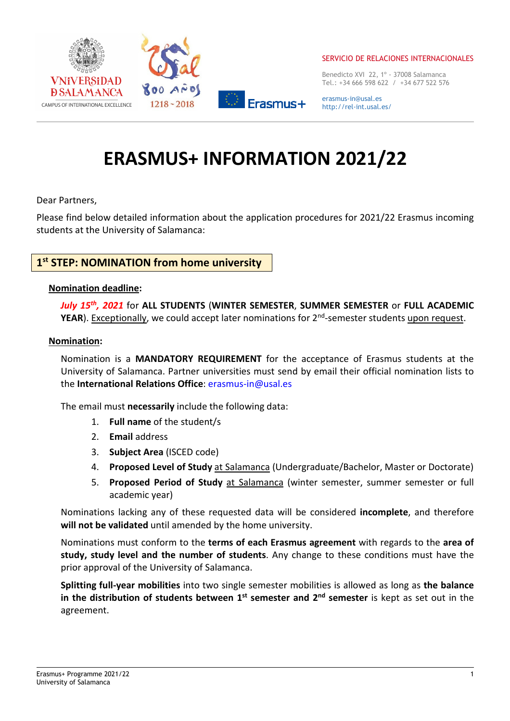

Benedicto XVI 22, 1º - 37008 Salamanca Tel.: +34 666 598 622 / +34 677 522 576

erasmus-in@usal.es http://rel-int.usal.es/

# ERASMUS+ INFORMATION 2021/22

Dear Partners,

Please find below detailed information about the application procedures for 2021/22 Erasmus incoming students at the University of Salamanca:

# 1<sup>st</sup> STEP: NOMINATION from home university

#### Nomination deadline:

July 15<sup>th</sup>, 2021 for ALL STUDENTS (WINTER SEMESTER, SUMMER SEMESTER or FULL ACADEMIC YEAR). Exceptionally, we could accept later nominations for 2<sup>nd</sup>-semester students upon request.

#### Nomination:

Nomination is a MANDATORY REQUIREMENT for the acceptance of Erasmus students at the University of Salamanca. Partner universities must send by email their official nomination lists to the International Relations Office: erasmus-in@usal.es

The email must necessarily include the following data:

- 1. Full name of the student/s
- 2. Email address
- 3. Subject Area (ISCED code)
- 4. Proposed Level of Study at Salamanca (Undergraduate/Bachelor, Master or Doctorate)
- 5. Proposed Period of Study at Salamanca (winter semester, summer semester or full academic year)

Nominations lacking any of these requested data will be considered incomplete, and therefore will not be validated until amended by the home university.

Nominations must conform to the terms of each Erasmus agreement with regards to the area of study, study level and the number of students. Any change to these conditions must have the prior approval of the University of Salamanca.

Splitting full-year mobilities into two single semester mobilities is allowed as long as the balance in the distribution of students between  $1^{st}$  semester and  $2^{nd}$  semester is kept as set out in the agreement.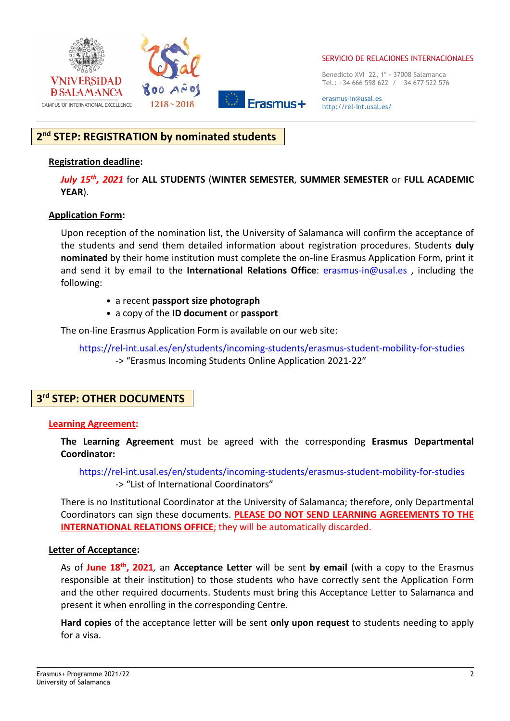

Benedicto XVI 22, 1º - 37008 Salamanca Tel.: +34 666 598 622 / +34 677 522 576

erasmus-in@usal.es http://rel-int.usal.es/

# 2<sup>nd</sup> STEP: REGISTRATION by nominated students

#### Registration deadline:

July 15<sup>th</sup>, 2021 for ALL STUDENTS (WINTER SEMESTER, SUMMER SEMESTER or FULL ACADEMIC YEAR).

#### Application Form:

Upon reception of the nomination list, the University of Salamanca will confirm the acceptance of the students and send them detailed information about registration procedures. Students duly nominated by their home institution must complete the on-line Erasmus Application Form, print it and send it by email to the International Relations Office: erasmus-in@usal.es, including the following:

- a recent passport size photograph
- a copy of the ID document or passport

The on-line Erasmus Application Form is available on our web site:

https://rel-int.usal.es/en/students/incoming-students/erasmus-student-mobility-for-studies -> "Erasmus Incoming Students Online Application 2021-22"

# 3<sup>rd</sup> STEP: OTHER DOCUMENTS

#### Learning Agreement:

The Learning Agreement must be agreed with the corresponding Erasmus Departmental Coordinator:

https://rel-int.usal.es/en/students/incoming-students/erasmus-student-mobility-for-studies -> "List of International Coordinators"

There is no Institutional Coordinator at the University of Salamanca; therefore, only Departmental Coordinators can sign these documents. PLEASE DO NOT SEND LEARNING AGREEMENTS TO THE INTERNATIONAL RELATIONS OFFICE; they will be automatically discarded.

#### Letter of Acceptance:

As of June 18<sup>th</sup>, 2021, an Acceptance Letter will be sent by email (with a copy to the Erasmus responsible at their institution) to those students who have correctly sent the Application Form and the other required documents. Students must bring this Acceptance Letter to Salamanca and present it when enrolling in the corresponding Centre.

Hard copies of the acceptance letter will be sent only upon request to students needing to apply for a visa.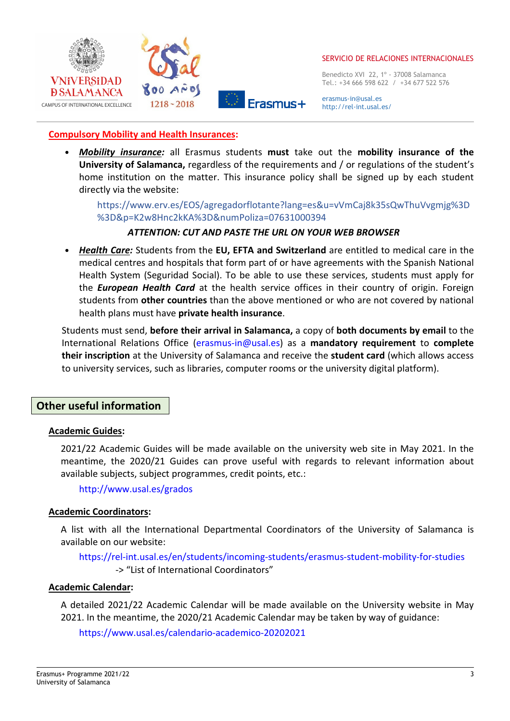

Benedicto XVI 22, 1º - 37008 Salamanca Tel.: +34 666 598 622 / +34 677 522 576

erasmus-in@usal.es http://rel-int.usal.es/

## Compulsory Mobility and Health Insurances:

• Mobility insurance: all Erasmus students must take out the mobility insurance of the University of Salamanca, regardless of the requirements and / or regulations of the student's home institution on the matter. This insurance policy shall be signed up by each student directly via the website:

https://www.erv.es/EOS/agregadorflotante?lang=es&u=vVmCaj8k35sQwThuVvgmjg%3D %3D&p=K2w8Hnc2kKA%3D&numPoliza=07631000394

## ATTENTION: CUT AND PASTE THE URL ON YOUR WEB BROWSER

• Health Care: Students from the EU, EFTA and Switzerland are entitled to medical care in the medical centres and hospitals that form part of or have agreements with the Spanish National Health System (Seguridad Social). To be able to use these services, students must apply for the **European Health Card** at the health service offices in their country of origin. Foreign students from other countries than the above mentioned or who are not covered by national health plans must have private health insurance.

Students must send, before their arrival in Salamanca, a copy of both documents by email to the International Relations Office (erasmus-in@usal.es) as a mandatory requirement to complete their inscription at the University of Salamanca and receive the student card (which allows access to university services, such as libraries, computer rooms or the university digital platform).

# Other useful information

## Academic Guides:

2021/22 Academic Guides will be made available on the university web site in May 2021. In the meantime, the 2020/21 Guides can prove useful with regards to relevant information about available subjects, subject programmes, credit points, etc.:

http://www.usal.es/grados

## Academic Coordinators:

A list with all the International Departmental Coordinators of the University of Salamanca is available on our website:

https://rel-int.usal.es/en/students/incoming-students/erasmus-student-mobility-for-studies -> "List of International Coordinators"

## Academic Calendar:

A detailed 2021/22 Academic Calendar will be made available on the University website in May 2021. In the meantime, the 2020/21 Academic Calendar may be taken by way of guidance:

https://www.usal.es/calendario-academico-20202021